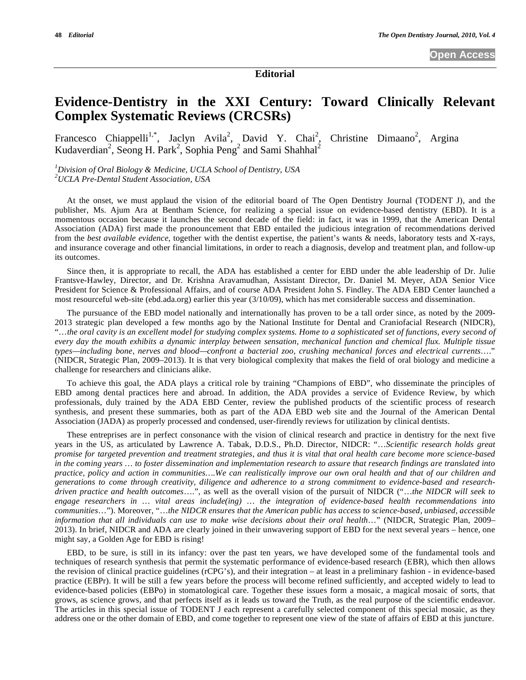**Editorial** 

## **Evidence-Dentistry in the XXI Century: Toward Clinically Relevant Complex Systematic Reviews (CRCSRs)**

Francesco Chiappelli<sup>1,\*</sup>, Jaclyn Avila<sup>2</sup>, David Y. Chai<sup>2</sup>, Christine Dimaano<sup>2</sup>, Argina Kudaverdian<sup>2</sup>, Seong H. Park<sup>2</sup>, Sophia Peng<sup>2</sup> and Sami Shahhal<sup>2</sup>

*1 Division of Oral Biology & Medicine, UCLA School of Dentistry, USA 2 UCLA Pre-Dental Student Association, USA* 

At the onset, we must applaud the vision of the editorial board of The Open Dentistry Journal (TODENT J), and the publisher, Ms. Ajum Ara at Bentham Science, for realizing a special issue on evidence-based dentistry (EBD). It is a momentous occasion because it launches the second decade of the field: in fact, it was in 1999, that the American Dental Association (ADA) first made the pronouncement that EBD entailed the judicious integration of recommendations derived from the *best available evidence*, together with the dentist expertise, the patient's wants & needs, laboratory tests and X-rays, and insurance coverage and other financial limitations, in order to reach a diagnosis, develop and treatment plan, and follow-up its outcomes.

Since then, it is appropriate to recall, the ADA has established a center for EBD under the able leadership of Dr. Julie Frantsve-Hawley, Director, and Dr. Krishna Aravamudhan, Assistant Director, Dr. Daniel M. Meyer, ADA Senior Vice President for Science & Professional Affairs, and of course ADA President John S. Findley. The ADA EBD Center launched a most resourceful web-site (ebd.ada.org) earlier this year (3/10/09), which has met considerable success and dissemination.

The pursuance of the EBD model nationally and internationally has proven to be a tall order since, as noted by the 2009- 2013 strategic plan developed a few months ago by the National Institute for Dental and Craniofacial Research (NIDCR), "…*the oral cavity is an excellent model for studying complex systems. Home to a sophisticated set of functions, every second of every day the mouth exhibits a dynamic interplay between sensation, mechanical function and chemical flux. Multiple tissue types—including bone, nerves and blood—confront a bacterial zoo, crushing mechanical forces and electrical currents*…." (NIDCR, Strategic Plan, 2009–2013). It is that very biological complexity that makes the field of oral biology and medicine a challenge for researchers and clinicians alike.

To achieve this goal, the ADA plays a critical role by training "Champions of EBD", who disseminate the principles of EBD among dental practices here and abroad. In addition, the ADA provides a service of Evidence Review, by which professionals, duly trained by the ADA EBD Center, review the published products of the scientific process of research synthesis, and present these summaries, both as part of the ADA EBD web site and the Journal of the American Dental Association (JADA) as properly processed and condensed, user-firendly reviews for utilization by clinical dentists.

These entreprises are in perfect consonance with the vision of clinical research and practice in dentistry for the next five years in the US, as articulated by Lawrence A. Tabak, D.D.S., Ph.D. Director, NIDCR: "…*Scientific research holds great promise for targeted prevention and treatment strategies, and thus it is vital that oral health care become more science-based in the coming years … to foster dissemination and implementation research to assure that research findings are translated into practice, policy and action in communities….We can realistically improve our own oral health and that of our children and generations to come through creativity, diligence and adherence to a strong commitment to evidence-based and researchdriven practice and health outcomes*….", as well as the overall vision of the pursuit of NIDCR ("…*the NIDCR will seek to engage researchers in … vital areas include(ing) … the integration of evidence-based health recommendations into communities*…"). Moreover, "…*the NIDCR ensures that the American public has access to science-based, unbiased, accessible information that all individuals can use to make wise decisions about their oral health...*" (NIDCR, Strategic Plan, 2009– 2013). In brief, NIDCR and ADA are clearly joined in their unwavering support of EBD for the next several years – hence, one might say, a Golden Age for EBD is rising!

EBD, to be sure, is still in its infancy: over the past ten years, we have developed some of the fundamental tools and techniques of research synthesis that permit the systematic performance of evidence-based research (EBR), which then allows the revision of clinical practice guidelines (rCPG's), and their integration – at least in a preliminary fashion - in evidence-based practice (EBPr). It will be still a few years before the process will become refined sufficiently, and accepted widely to lead to evidence-based policies (EBPo) in stomatological care. Together these issues form a mosaic, a magical mosaic of sorts, that grows, as science grows, and that perfects itself as it leads us toward the Truth, as the real purpose of the scientific endeavor. The articles in this special issue of TODENT J each represent a carefully selected component of this special mosaic, as they address one or the other domain of EBD, and come together to represent one view of the state of affairs of EBD at this juncture.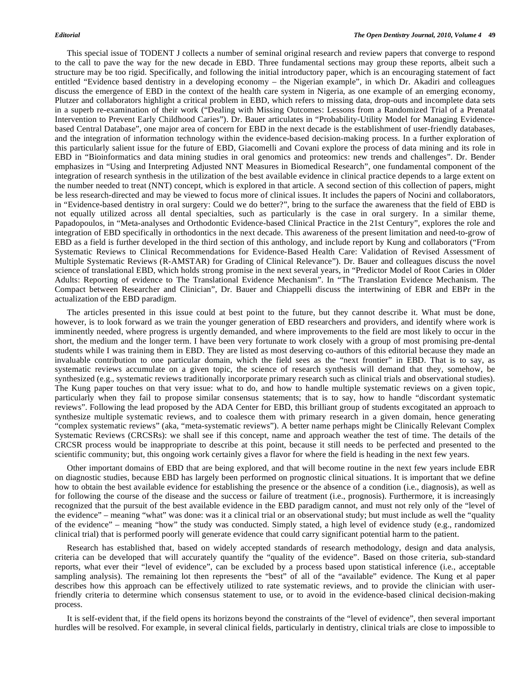This special issue of TODENT J collects a number of seminal original research and review papers that converge to respond to the call to pave the way for the new decade in EBD. Three fundamental sections may group these reports, albeit such a structure may be too rigid. Specifically, and following the initial introductory paper, which is an encouraging statement of fact entitled "Evidence based dentistry in a developing economy – the Nigerian example", in which Dr. Akadiri and colleagues discuss the emergence of EBD in the context of the health care system in Nigeria, as one example of an emerging economy, Plutzer and collaborators highlight a critical problem in EBD, which refers to missing data, drop-outs and incomplete data sets in a superb re-examination of their work ("Dealing with Missing Outcomes: Lessons from a Randomized Trial of a Prenatal Intervention to Prevent Early Childhood Caries"). Dr. Bauer articulates in "Probability-Utility Model for Managing Evidencebased Central Database", one major area of concern for EBD in the next decade is the establishment of user-friendly databases, and the integration of information technology within the evidence-based decision-making process. In a further exploration of this particularly salient issue for the future of EBD, Giacomelli and Covani explore the process of data mining and its role in EBD in "Bioinformatics and data mining studies in oral genomics and proteomics: new trends and challenges". Dr. Bender emphasizes in "Using and Interpreting Adjusted NNT Measures in Biomedical Research", one fundamental component of the integration of research synthesis in the utilization of the best available evidence in clinical practice depends to a large extent on the number needed to treat (NNT) concept, which is explored in that article. A second section of this collection of papers, might be less research-directed and may be viewed to focus more of clinical issues. It includes the papers of Nocini and collaborators, in "Evidence-based dentistry in oral surgery: Could we do better?", bring to the surface the awareness that the field of EBD is not equally utilized across all dental specialties, such as particularly is the case in oral surgery. In a similar theme, Papadopoulos, in "Meta-analyses and Orthodontic Evidence-based Clinical Practice in the 21st Century", explores the role and integration of EBD specifically in orthodontics in the next decade. This awareness of the present limitation and need-to-grow of EBD as a field is further developed in the third section of this anthology, and include report by Kung and collaborators ("From Systematic Reviews to Clinical Recommendations for Evidence-Based Health Care: Validation of Revised Assessment of Multiple Systematic Reviews (R-AMSTAR) for Grading of Clinical Relevance"). Dr. Bauer and colleagues discuss the novel science of translational EBD, which holds strong promise in the next several years, in "Predictor Model of Root Caries in Older Adults: Reporting of evidence to The Translational Evidence Mechanism". In "The Translation Evidence Mechanism. The Compact between Researcher and Clinician", Dr. Bauer and Chiappelli discuss the intertwining of EBR and EBPr in the actualization of the EBD paradigm.

The articles presented in this issue could at best point to the future, but they cannot describe it. What must be done, however, is to look forward as we train the younger generation of EBD researchers and providers, and identify where work is imminently needed, where progress is urgently demanded, and where improvements to the field are most likely to occur in the short, the medium and the longer term. I have been very fortunate to work closely with a group of most promising pre-dental students while I was training them in EBD. They are listed as most deserving co-authors of this editorial because they made an invaluable contribution to one particular domain, which the field sees as the "next frontier" in EBD. That is to say, as systematic reviews accumulate on a given topic, the science of research synthesis will demand that they, somehow, be synthesized (e.g., systematic reviews traditionally incorporate primary research such as clinical trials and observational studies). The Kung paper touches on that very issue: what to do, and how to handle multiple systematic reviews on a given topic, particularly when they fail to propose similar consensus statements; that is to say, how to handle "discordant systematic reviews". Following the lead proposed by the ADA Center for EBD, this brilliant group of students excogitated an approach to synthesize multiple systematic reviews, and to coalesce them with primary research in a given domain, hence generating "complex systematic reviews" (aka, "meta-systematic reviews"). A better name perhaps might be Clinically Relevant Complex Systematic Reviews (CRCSRs): we shall see if this concept, name and approach weather the test of time. The details of the CRCSR process would be inappropriate to describe at this point, because it still needs to be perfected and presented to the scientific community; but, this ongoing work certainly gives a flavor for where the field is heading in the next few years.

Other important domains of EBD that are being explored, and that will become routine in the next few years include EBR on diagnostic studies, because EBD has largely been performed on prognostic clinical situations. It is important that we define how to obtain the best available evidence for establishing the presence or the absence of a condition (i.e., diagnosis), as well as for following the course of the disease and the success or failure of treatment (i.e., prognosis). Furthermore, it is increasingly recognized that the pursuit of the best available evidence in the EBD paradigm cannot, and must not rely only of the "level of the evidence" – meaning "what" was done: was it a clinical trial or an observational study; but must include as well the "quality of the evidence" – meaning "how" the study was conducted. Simply stated, a high level of evidence study (e.g., randomized clinical trial) that is performed poorly will generate evidence that could carry significant potential harm to the patient.

Research has established that, based on widely accepted standards of research methodology, design and data analysis, criteria can be developed that will accurately quantify the "quality of the evidence". Based on those criteria, sub-standard reports, what ever their "level of evidence", can be excluded by a process based upon statistical inference (i.e., acceptable sampling analysis). The remaining lot then represents the "best" of all of the "available" evidence. The Kung et al paper describes how this approach can be effectively utilized to rate systematic reviews, and to provide the clinician with userfriendly criteria to determine which consensus statement to use, or to avoid in the evidence-based clinical decision-making process.

It is self-evident that, if the field opens its horizons beyond the constraints of the "level of evidence", then several important hurdles will be resolved. For example, in several clinical fields, particularly in dentistry, clinical trials are close to impossible to